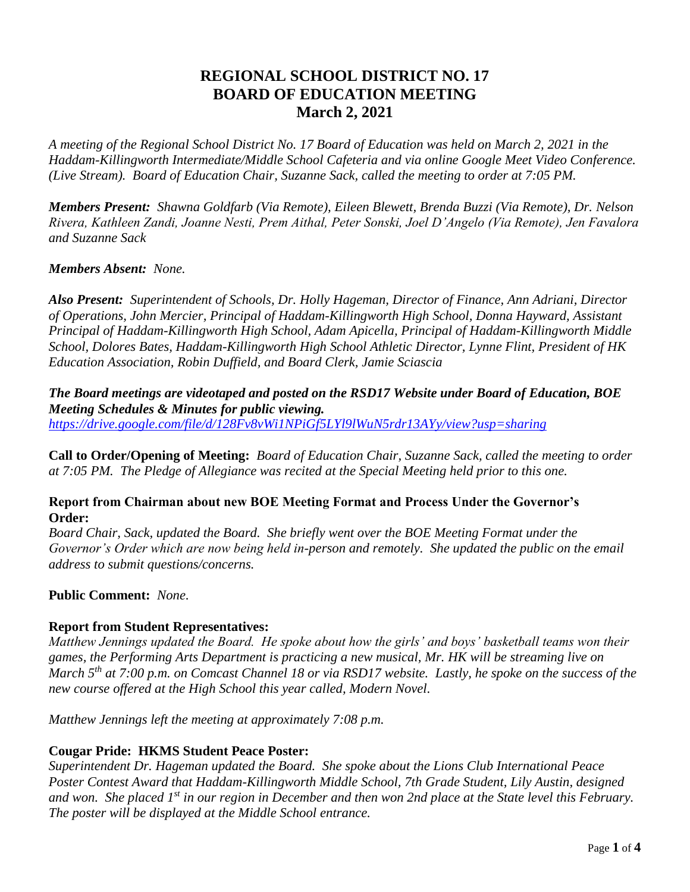# **REGIONAL SCHOOL DISTRICT NO. 17 BOARD OF EDUCATION MEETING March 2, 2021**

*A meeting of the Regional School District No. 17 Board of Education was held on March 2, 2021 in the Haddam-Killingworth Intermediate/Middle School Cafeteria and via online Google Meet Video Conference. (Live Stream). Board of Education Chair, Suzanne Sack, called the meeting to order at 7:05 PM.*

*Members Present: Shawna Goldfarb (Via Remote), Eileen Blewett, Brenda Buzzi (Via Remote), Dr. Nelson Rivera, Kathleen Zandi, Joanne Nesti, Prem Aithal, Peter Sonski, Joel D'Angelo (Via Remote), Jen Favalora and Suzanne Sack*

#### *Members Absent: None.*

*Also Present: Superintendent of Schools, Dr. Holly Hageman, Director of Finance, Ann Adriani, Director of Operations, John Mercier, Principal of Haddam-Killingworth High School, Donna Hayward, Assistant Principal of Haddam-Killingworth High School, Adam Apicella, Principal of Haddam-Killingworth Middle School, Dolores Bates, Haddam-Killingworth High School Athletic Director, Lynne Flint, President of HK Education Association, Robin Duffield, and Board Clerk, Jamie Sciascia*

*The Board meetings are videotaped and posted on the RSD17 Website under Board of Education, BOE Meeting Schedules & Minutes for public viewing. <https://drive.google.com/file/d/128Fv8vWi1NPiGf5LYl9lWuN5rdr13AYy/view?usp=sharing>*

**Call to Order/Opening of Meeting:** *Board of Education Chair, Suzanne Sack, called the meeting to order at 7:05 PM. The Pledge of Allegiance was recited at the Special Meeting held prior to this one.*

#### **Report from Chairman about new BOE Meeting Format and Process Under the Governor's Order:**

*Board Chair, Sack, updated the Board. She briefly went over the BOE Meeting Format under the Governor's Order which are now being held in-person and remotely. She updated the public on the email address to submit questions/concerns.*

# **Public Comment:** *None.*

# **Report from Student Representatives:**

*Matthew Jennings updated the Board. He spoke about how the girls' and boys' basketball teams won their games, the Performing Arts Department is practicing a new musical, Mr. HK will be streaming live on March 5th at 7:00 p.m. on Comcast Channel 18 or via RSD17 website. Lastly, he spoke on the success of the new course offered at the High School this year called, Modern Novel.*

*Matthew Jennings left the meeting at approximately 7:08 p.m.*

# **Cougar Pride: HKMS Student Peace Poster:**

*Superintendent Dr. Hageman updated the Board. She spoke about the Lions Club International Peace Poster Contest Award that Haddam-Killingworth Middle School, 7th Grade Student, Lily Austin, designed and won. She placed 1st in our region in December and then won 2nd place at the State level this February. The poster will be displayed at the Middle School entrance.*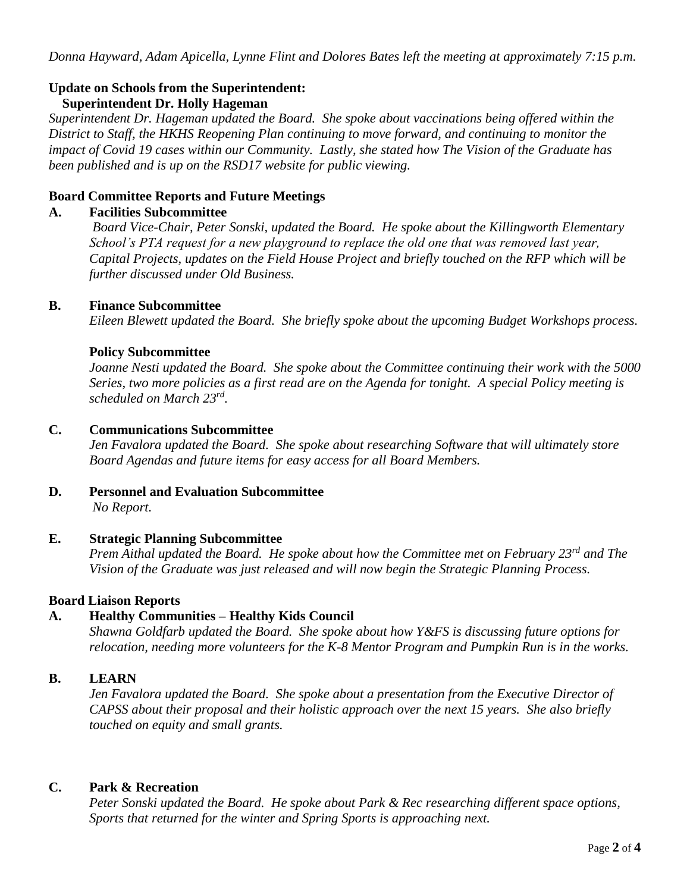*Donna Hayward, Adam Apicella, Lynne Flint and Dolores Bates left the meeting at approximately 7:15 p.m.*

# **Update on Schools from the Superintendent:**

# **Superintendent Dr. Holly Hageman**

*Superintendent Dr. Hageman updated the Board. She spoke about vaccinations being offered within the District to Staff, the HKHS Reopening Plan continuing to move forward, and continuing to monitor the impact of Covid 19 cases within our Community. Lastly, she stated how The Vision of the Graduate has been published and is up on the RSD17 website for public viewing.* 

#### **Board Committee Reports and Future Meetings**

#### **A. Facilities Subcommittee**

*Board Vice-Chair, Peter Sonski, updated the Board. He spoke about the Killingworth Elementary School's PTA request for a new playground to replace the old one that was removed last year, Capital Projects, updates on the Field House Project and briefly touched on the RFP which will be further discussed under Old Business.* 

#### **B. Finance Subcommittee**

*Eileen Blewett updated the Board. She briefly spoke about the upcoming Budget Workshops process.*

#### **Policy Subcommittee**

*Joanne Nesti updated the Board. She spoke about the Committee continuing their work with the 5000 Series, two more policies as a first read are on the Agenda for tonight. A special Policy meeting is scheduled on March 23rd .*

# **C. Communications Subcommittee**

*Jen Favalora updated the Board. She spoke about researching Software that will ultimately store Board Agendas and future items for easy access for all Board Members.* 

#### **D. Personnel and Evaluation Subcommittee**  *No Report.*

# **E. Strategic Planning Subcommittee**

*Prem Aithal updated the Board. He spoke about how the Committee met on February 23rd and The Vision of the Graduate was just released and will now begin the Strategic Planning Process.*

#### **Board Liaison Reports**

# **A. Healthy Communities – Healthy Kids Council**

*Shawna Goldfarb updated the Board. She spoke about how Y&FS is discussing future options for relocation, needing more volunteers for the K-8 Mentor Program and Pumpkin Run is in the works.*

# **B. LEARN**

*Jen Favalora updated the Board. She spoke about a presentation from the Executive Director of CAPSS about their proposal and their holistic approach over the next 15 years. She also briefly touched on equity and small grants.*

# **C. Park & Recreation**

*Peter Sonski updated the Board. He spoke about Park & Rec researching different space options, Sports that returned for the winter and Spring Sports is approaching next.*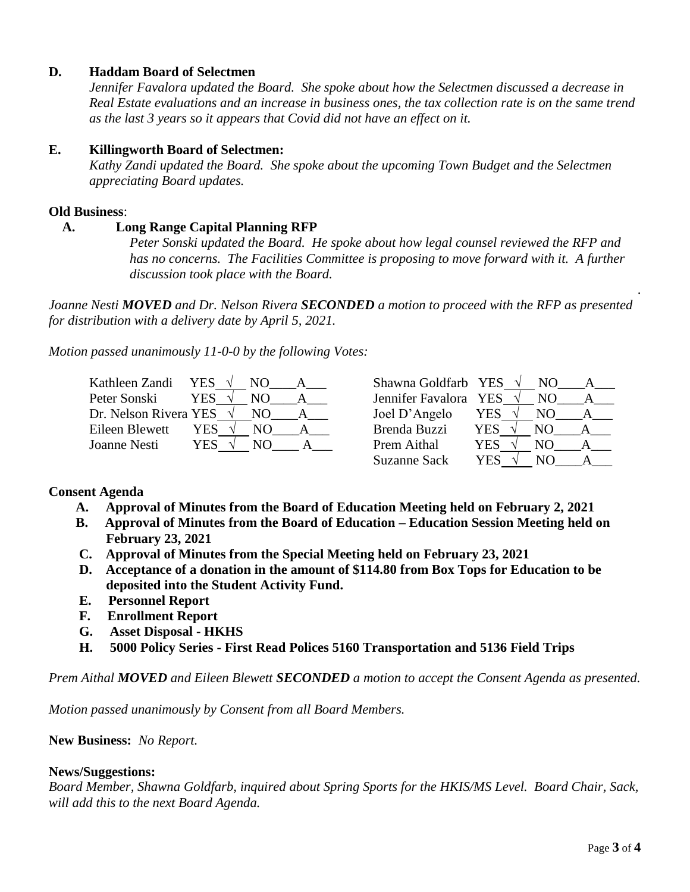#### **D. Haddam Board of Selectmen**

*Jennifer Favalora updated the Board. She spoke about how the Selectmen discussed a decrease in Real Estate evaluations and an increase in business ones, the tax collection rate is on the same trend as the last 3 years so it appears that Covid did not have an effect on it.*

#### **E. Killingworth Board of Selectmen:**

 *Kathy Zandi updated the Board. She spoke about the upcoming Town Budget and the Selectmen appreciating Board updates.*

#### **Old Business**:

#### **A. Long Range Capital Planning RFP**

*Peter Sonski updated the Board. He spoke about how legal counsel reviewed the RFP and has no concerns. The Facilities Committee is proposing to move forward with it. A further discussion took place with the Board.*

*Joanne Nesti MOVED and Dr. Nelson Rivera SECONDED a motion to proceed with the RFP as presented for distribution with a delivery date by April 5, 2021.*

*Motion passed unanimously 11-0-0 by the following Votes:*

| Kathleen Zandi                  | YES $\sqrt{ }$ | N() | Shawna Goldfarb YES   |     | NO. |  |
|---------------------------------|----------------|-----|-----------------------|-----|-----|--|
| Peter Sonski                    | YES.           |     | Jennifer Favalora YES |     | NO. |  |
| Dr. Nelson Rivera YES $\sqrt{}$ |                | NO. | Joel D'Angelo         | YES | NO. |  |
| Eileen Blewett                  | YES            | NO. | Brenda Buzzi          | YES | NO. |  |
| Joanne Nesti                    | YES            | N() | Prem Aithal           | YES | NO  |  |
|                                 |                |     | <b>Suzanne Sack</b>   | YES |     |  |

# **Consent Agenda**

- **A. Approval of Minutes from the Board of Education Meeting held on February 2, 2021**
- **B. Approval of Minutes from the Board of Education – Education Session Meeting held on February 23, 2021**
- **C. Approval of Minutes from the Special Meeting held on February 23, 2021**
- **D. Acceptance of a donation in the amount of \$114.80 from Box Tops for Education to be deposited into the Student Activity Fund.**
- **E. Personnel Report**
- **F. Enrollment Report**
- **G. Asset Disposal - HKHS**
- **H. 5000 Policy Series - First Read Polices 5160 Transportation and 5136 Field Trips**

*Prem Aithal MOVED and Eileen Blewett SECONDED a motion to accept the Consent Agenda as presented.*

*Motion passed unanimously by Consent from all Board Members.*

#### **New Business:** *No Report.*

#### **News/Suggestions:**

*Board Member, Shawna Goldfarb, inquired about Spring Sports for the HKIS/MS Level. Board Chair, Sack, will add this to the next Board Agenda.*

.